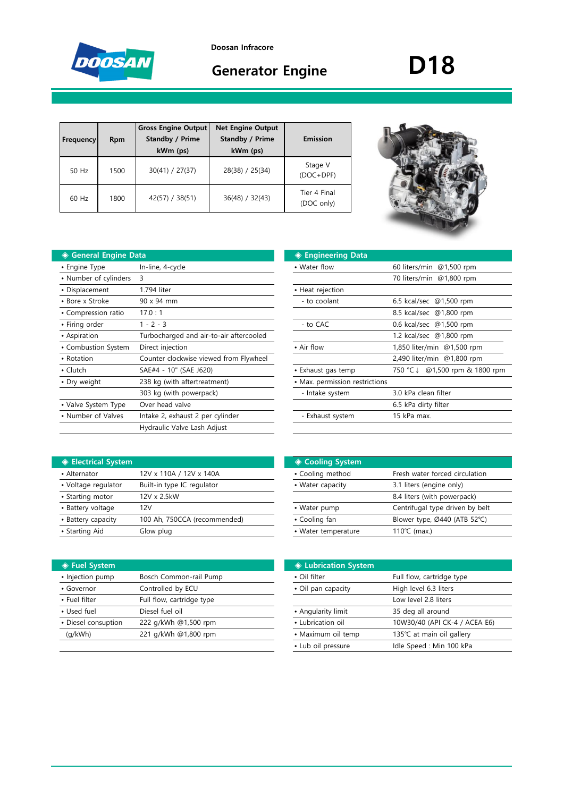

**Doosan Infracore**

# Generator Engine **D18**

사진

| <b>Frequency</b> | <b>Rpm</b> | <b>Gross Engine Output</b><br>Standby / Prime<br>kWm (ps) | <b>Net Engine Output</b><br><b>Standby / Prime</b><br>kWm (ps) | Emission                   |
|------------------|------------|-----------------------------------------------------------|----------------------------------------------------------------|----------------------------|
| 50 Hz            | 1500       | 30(41) / 27(37)                                           | 28(38) / 25(34)                                                | Stage V<br>(DOC+DPF)       |
| $60$ Hz          | 1800       | 42(57) / 38(51)                                           | 36(48) / 32(43)                                                | Tier 4 Final<br>(DOC only) |

## **◆ General Engine Data**

| • Engine Type         | In-line, 4-cycle                        | • Water flow                   | 60 liters/min @1,500 rpm    |
|-----------------------|-----------------------------------------|--------------------------------|-----------------------------|
| • Number of cylinders | 3                                       |                                | 70 liters/min @1,800 rpm    |
| • Displacement        | 1.794 liter                             | • Heat rejection               |                             |
| • Bore x Stroke       | 90 x 94 mm                              | - to coolant                   | 6.5 kcal/sec @1,500 rpm     |
| • Compression ratio   | 17.0:1                                  |                                | 8.5 kcal/sec @1,800 rpm     |
| • Firing order        | $1 - 2 - 3$                             | - to CAC                       | 0.6 kcal/sec @1,500 rpm     |
| • Aspiration          | Turbocharged and air-to-air aftercooled |                                | 1.2 kcal/sec @1,800 rpm     |
| • Combustion System   | Direct injection                        | • Air flow                     | 1,850 liter/min @1,500 rpm  |
| • Rotation            | Counter clockwise viewed from Flywheel  |                                | 2,490 liter/min @1,800 rpm  |
| $\cdot$ Clutch        | SAE#4 - 10" (SAE J620)                  | • Exhaust gas temp             | @1,500 rpm & 18<br>750 °C ↓ |
| • Dry weight          | 238 kg (with aftertreatment)            | • Max. permission restrictions |                             |
|                       | 303 kg (with powerpack)                 | - Intake system                | 3.0 kPa clean filter        |
| • Valve System Type   | Over head valve                         |                                | 6.5 kPa dirty filter        |
| • Number of Valves    | Intake 2, exhaust 2 per cylinder        | - Exhaust system               | 15 kPa max.                 |
|                       | Hydraulic Valve Lash Adjust             |                                |                             |

| <b>Seneral Engine Data</b> |                                         | ◈ Engineering Data             |                                   |
|----------------------------|-----------------------------------------|--------------------------------|-----------------------------------|
| • Engine Type              | In-line, 4-cycle                        | • Water flow                   | 60 liters/min @1,500 rpm          |
| • Number of cylinders      | 3                                       |                                | 70 liters/min @1,800 rpm          |
| • Displacement             | 1.794 liter                             | • Heat rejection               |                                   |
| • Bore x Stroke            | $90 \times 94$ mm                       | - to coolant                   | 6.5 kcal/sec @1,500 rpm           |
| • Compression ratio        | 17.0:1                                  |                                | 8.5 kcal/sec @1,800 rpm           |
| • Firing order             | $1 - 2 - 3$                             | - to CAC                       | 0.6 kcal/sec @1,500 rpm           |
| • Aspiration               | Turbocharged and air-to-air aftercooled |                                | 1.2 kcal/sec @1,800 rpm           |
| • Combustion System        | Direct injection                        | • Air flow                     | 1,850 liter/min @1,500 rpm        |
| • Rotation                 | Counter clockwise viewed from Flywheel  |                                | 2,490 liter/min @1,800 rpm        |
| $\bullet$ Clutch           | SAE#4 - 10" (SAE J620)                  | • Exhaust gas temp             | @1,500 rpm & 1800 rpm<br>750 °C ↓ |
| • Dry weight               | 238 kg (with aftertreatment)            | • Max. permission restrictions |                                   |
|                            | 303 kg (with powerpack)                 | - Intake system                | 3.0 kPa clean filter              |
| • Valve System Type        | Over head valve                         |                                | 6.5 kPa dirty filter              |
| • Number of Valves         | Intake 2, exhaust 2 per cylinder        | - Exhaust system               | 15 kPa max.                       |
|                            |                                         |                                |                                   |

| <b>♦ Electrical System</b> |                              | ◆ Cooling System    |                                 |
|----------------------------|------------------------------|---------------------|---------------------------------|
| • Alternator               | 12V x 110A / 12V x 140A      | • Cooling method    | Fresh water forced circulation  |
| • Voltage regulator        | Built-in type IC regulator   | • Water capacity    | 3.1 liters (engine only)        |
| • Starting motor           | 12V x 2.5kW                  |                     | 8.4 liters (with powerpack)     |
| • Battery voltage          | 12V                          | • Water pump        | Centrifugal type driven by belt |
| • Battery capacity         | 100 Ah, 750CCA (recommended) | • Cooling fan       | Blower type, Ø440 (ATB 52°C)    |
| • Starting Aid             | Glow plug                    | • Water temperature | 110 $°C$ (max.)                 |

| ◈ Fuel System       |                           | <b>♦ Lubrication System</b> |                               |
|---------------------|---------------------------|-----------------------------|-------------------------------|
| • Injection pump    | Bosch Common-rail Pump    | • Oil filter                | Full flow, cartridge type     |
| • Governor          | Controlled by ECU         | • Oil pan capacity          | High level 6.3 liters         |
| • Fuel filter       | Full flow, cartridge type |                             | Low level 2.8 liters          |
| • Used fuel         | Diesel fuel oil           | • Angularity limit          | 35 deg all around             |
| • Diesel consuption | 222 g/kWh @1,500 rpm      | • Lubrication oil           | 10W30/40 (API CK-4 / ACEA E6) |
| (q/kWh)             | 221 g/kWh @1,800 rpm      | • Maximum oil temp          | 135℃ at main oil gallery      |
|                     |                           |                             |                               |

| ◈ Cooling System    |                                 |
|---------------------|---------------------------------|
| • Cooling method    | Fresh water forced circulation  |
| • Water capacity    | 3.1 liters (engine only)        |
|                     | 8.4 liters (with powerpack)     |
| • Water pump        | Centrifugal type driven by belt |
| • Cooling fan       | Blower type, Ø440 (ATB 52°C)    |
| • Water temperature | 110 $°C$ (max.)                 |

| <b>♦ Lubrication System</b> |                               |
|-----------------------------|-------------------------------|
| • Oil filter                | Full flow, cartridge type     |
| • Oil pan capacity          | High level 6.3 liters         |
|                             | Low level 2.8 liters          |
| • Angularity limit          | 35 deg all around             |
| • Lubrication oil           | 10W30/40 (API CK-4 / ACEA E6) |
| • Maximum oil temp          | 135℃ at main oil gallery      |
| • Lub oil pressure          | Idle Speed : Min 100 kPa      |